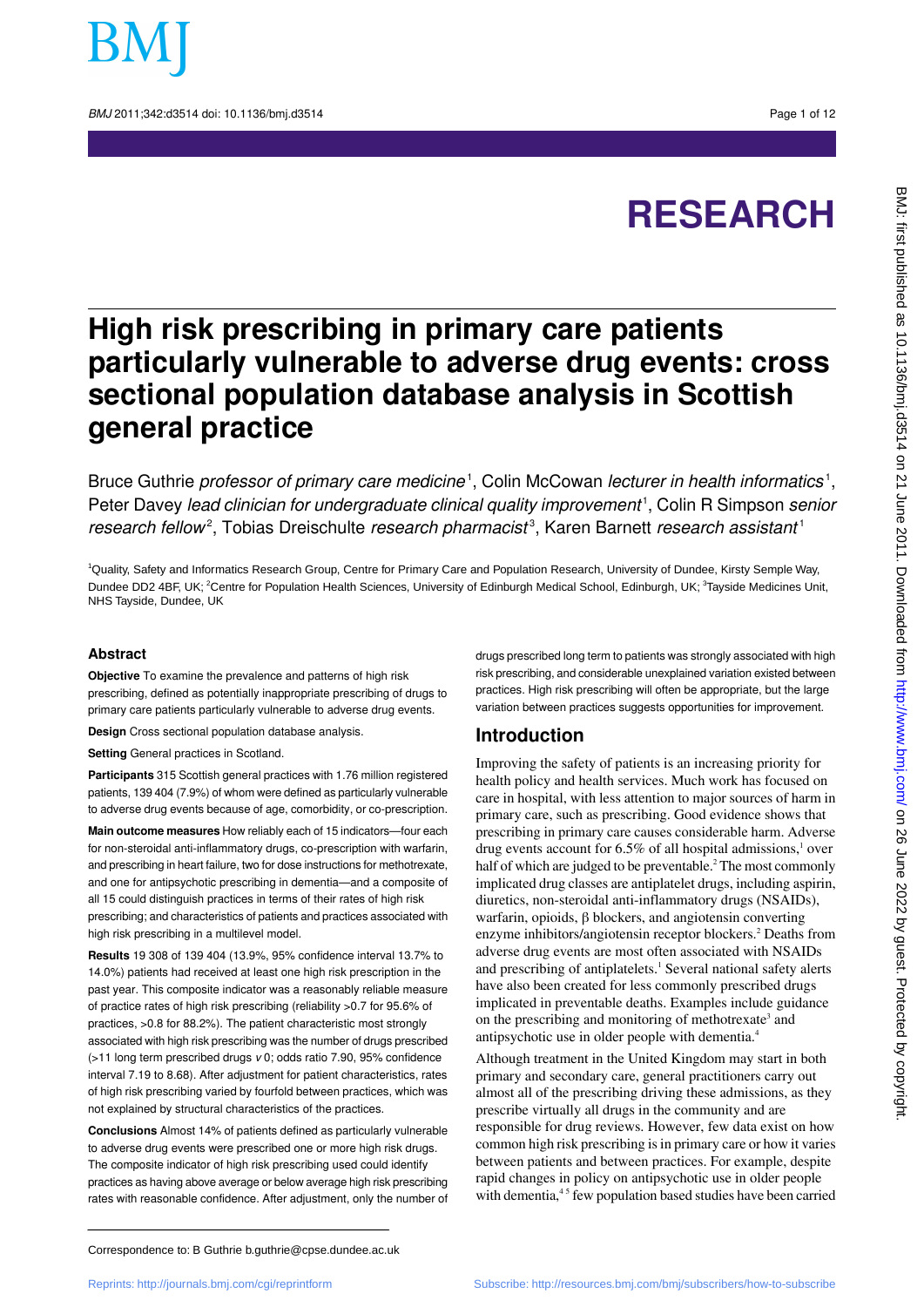

BMJ 2011:342:d3514 doi: 10.1136/bmi.d3514 example 1 of 12

# **RESEARCH**

## **High risk prescribing in primary care patients particularly vulnerable to adverse drug events: cross sectional population database analysis in Scottish general practice**

Bruce Guthrie *professor of primary care medicine* <sup>1</sup>, Colin McCowan *lecturer in health informatics* <sup>1</sup>, Peter Davey *lead clinician for undergraduate clinical quality improvement<sup>1</sup>, Colin R Simpson senior* research fellow<sup>2</sup>, Tobias Dreischulte research pharmacist<sup>3</sup>, Karen Barnett research assistant<sup>1</sup>

<sup>1</sup>Quality, Safety and Informatics Research Group, Centre for Primary Care and Population Research, University of Dundee, Kirsty Semple Way, Dundee DD2 4BF, UK; <sup>2</sup>Centre for Population Health Sciences, University of Edinburgh Medical School, Edinburgh, UK; <sup>3</sup>Tayside Medicines Unit, NHS Tayside, Dundee, UK

#### **Abstract**

**Objective** To examine the prevalence and patterns of high risk prescribing, defined as potentially inappropriate prescribing of drugs to primary care patients particularly vulnerable to adverse drug events.

**Design** Cross sectional population database analysis.

**Setting** General practices in Scotland.

**Participants** 315 Scottish general practices with 1.76 million registered patients, 139 404 (7.9%) of whom were defined as particularly vulnerable to adverse drug events because of age, comorbidity, or co-prescription.

**Main outcome measures** How reliably each of 15 indicators—four each for non-steroidal anti-inflammatory drugs, co-prescription with warfarin, and prescribing in heart failure, two for dose instructions for methotrexate, and one for antipsychotic prescribing in dementia—and a composite of all 15 could distinguish practices in terms of their rates of high risk prescribing; and characteristics of patients and practices associated with high risk prescribing in a multilevel model.

**Results** 19 308 of 139 404 (13.9%, 95% confidence interval 13.7% to 14.0%) patients had received at least one high risk prescription in the past year. This composite indicator was a reasonably reliable measure of practice rates of high risk prescribing (reliability >0.7 for 95.6% of practices, >0.8 for 88.2%). The patient characteristic most strongly associated with high risk prescribing was the number of drugs prescribed (>11 long term prescribed drugs v 0; odds ratio 7.90, 95% confidence interval 7.19 to 8.68). After adjustment for patient characteristics, rates of high risk prescribing varied by fourfold between practices, which was not explained by structural characteristics of the practices.

**Conclusions** Almost 14% of patients defined as particularly vulnerable to adverse drug events were prescribed one or more high risk drugs. The composite indicator of high risk prescribing used could identify practices as having above average or below average high risk prescribing rates with reasonable confidence. After adjustment, only the number of drugs prescribed long term to patients was strongly associated with high risk prescribing, and considerable unexplained variation existed between practices. High risk prescribing will often be appropriate, but the large variation between practices suggests opportunities for improvement.

### **Introduction**

Improving the safety of patients is an increasing priority for health policy and health services. Much work has focused on care in hospital, with less attention to major sources of harm in primary care, such as prescribing. Good evidence shows that prescribing in primary care causes considerable harm. Adverse drug events account for  $6.5\%$  of all hospital admissions,<sup>1</sup> over half of which are judged to be preventable. $\degree$  The most commonly implicated drug classes are antiplatelet drugs, including aspirin, diuretics, non-steroidal anti-inflammatory drugs (NSAIDs), warfarin, opioids, β blockers, and angiotensin converting enzyme inhibitors/angiotensin receptor blockers.<sup>2</sup> Deaths from adverse drug events are most often associated with NSAIDs and prescribing of antiplatelets.<sup>1</sup> Several national safety alerts have also been created for less commonly prescribed drugs implicated in preventable deaths. Examples include guidance on the prescribing and monitoring of methotrexate<sup>3</sup> and antipsychotic use in older people with dementia.<sup>4</sup>

Although treatment in the United Kingdom may start in both primary and secondary care, general practitioners carry out almost all of the prescribing driving these admissions, as they prescribe virtually all drugs in the community and are responsible for drug reviews. However, few data exist on how common high risk prescribing is in primary care or how it varies between patients and between practices. For example, despite rapid changes in policy on antipsychotic use in older people with dementia,<sup>45</sup> few population based studies have been carried

Correspondence to: B Guthrie b.guthrie@cpse.dundee.ac.uk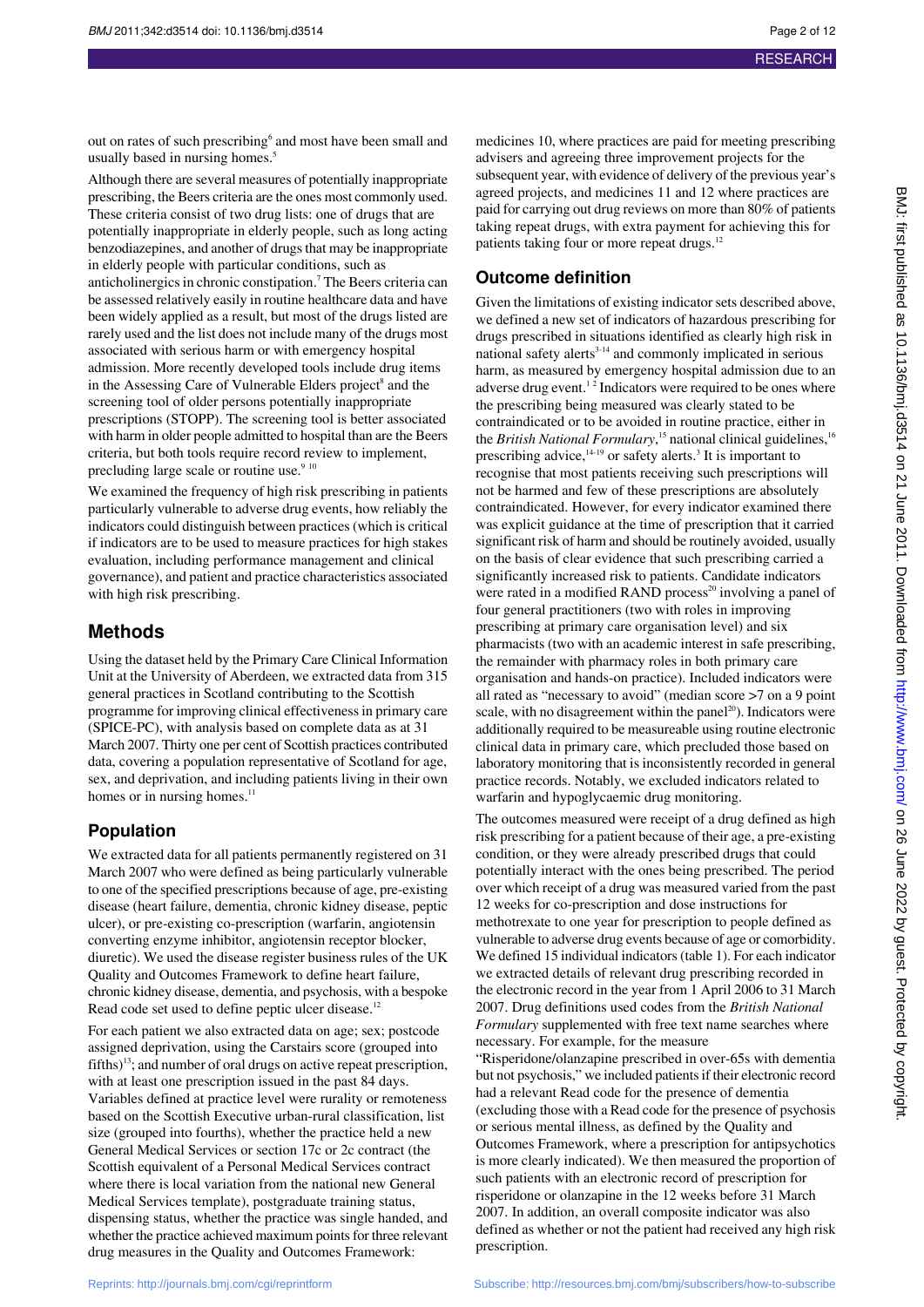usually based in nursing homes.<sup>5</sup> Although there are several measures of potentially inappropriate prescribing, the Beers criteria are the ones most commonly used. These criteria consist of two drug lists: one of drugs that are potentially inappropriate in elderly people, such as long acting benzodiazepines, and another of drugs that may be inappropriate in elderly people with particular conditions, such as anticholinergics in chronic constipation.<sup>7</sup> The Beers criteria can be assessed relatively easily in routine healthcare data and have been widely applied as a result, but most of the drugs listed are rarely used and the list does not include many of the drugs most associated with serious harm or with emergency hospital admission. More recently developed tools include drug items

in the Assessing Care of Vulnerable Elders project<sup>8</sup> and the screening tool of older persons potentially inappropriate prescriptions (STOPP). The screening tool is better associated with harm in older people admitted to hospital than are the Beers criteria, but both tools require record review to implement, precluding large scale or routine use.<sup>9 10</sup>

out on rates of such prescribing $6$  and most have been small and

We examined the frequency of high risk prescribing in patients particularly vulnerable to adverse drug events, how reliably the indicators could distinguish between practices (which is critical if indicators are to be used to measure practices for high stakes evaluation, including performance management and clinical governance), and patient and practice characteristics associated with high risk prescribing.

#### **Methods**

Using the dataset held by the Primary Care Clinical Information Unit at the University of Aberdeen, we extracted data from 315 general practices in Scotland contributing to the Scottish programme for improving clinical effectiveness in primary care (SPICE-PC), with analysis based on complete data as at 31 March 2007. Thirty one per cent of Scottish practices contributed data, covering a population representative of Scotland for age, sex, and deprivation, and including patients living in their own homes or in nursing homes. $<sup>11</sup>$ </sup>

#### **Population**

We extracted data for all patients permanently registered on 31 March 2007 who were defined as being particularly vulnerable to one of the specified prescriptions because of age, pre-existing disease (heart failure, dementia, chronic kidney disease, peptic ulcer), or pre-existing co-prescription (warfarin, angiotensin converting enzyme inhibitor, angiotensin receptor blocker, diuretic). We used the disease register business rules of the UK Quality and Outcomes Framework to define heart failure, chronic kidney disease, dementia, and psychosis, with a bespoke Read code set used to define peptic ulcer disease.<sup>12</sup>

For each patient we also extracted data on age; sex; postcode assigned deprivation, using the Carstairs score (grouped into fifths)<sup>13</sup>; and number of oral drugs on active repeat prescription, with at least one prescription issued in the past 84 days. Variables defined at practice level were rurality or remoteness based on the Scottish Executive urban-rural classification, list size (grouped into fourths), whether the practice held a new General Medical Services or section 17c or 2c contract (the Scottish equivalent of a Personal Medical Services contract where there is local variation from the national new General Medical Services template), postgraduate training status, dispensing status, whether the practice was single handed, and whether the practice achieved maximum points for three relevant drug measures in the Quality and Outcomes Framework:

medicines 10, where practices are paid for meeting prescribing advisers and agreeing three improvement projects for the subsequent year, with evidence of delivery of the previous year's agreed projects, and medicines 11 and 12 where practices are paid for carrying out drug reviews on more than 80% of patients taking repeat drugs, with extra payment for achieving this for patients taking four or more repeat drugs.<sup>12</sup>

#### **Outcome definition**

Given the limitations of existing indicator sets described above, we defined a new set of indicators of hazardous prescribing for drugs prescribed in situations identified as clearly high risk in national safety alerts<sup>3-14</sup> and commonly implicated in serious harm, as measured by emergency hospital admission due to an adverse drug event.<sup>12</sup> Indicators were required to be ones where the prescribing being measured was clearly stated to be contraindicated or to be avoided in routine practice, either in the *British National Formulary*,<sup>15</sup> national clinical guidelines,<sup>16</sup> prescribing advice, $14-19$  or safety alerts.<sup>3</sup> It is important to recognise that most patients receiving such prescriptions will not be harmed and few of these prescriptions are absolutely contraindicated. However, for every indicator examined there was explicit guidance at the time of prescription that it carried significant risk of harm and should be routinely avoided, usually on the basis of clear evidence that such prescribing carried a significantly increased risk to patients. Candidate indicators were rated in a modified RAND process<sup>20</sup> involving a panel of four general practitioners (two with roles in improving prescribing at primary care organisation level) and six pharmacists (two with an academic interest in safe prescribing, the remainder with pharmacy roles in both primary care organisation and hands-on practice). Included indicators were all rated as "necessary to avoid" (median score >7 on a 9 point scale, with no disagreement within the panel $2<sup>0</sup>$ ). Indicators were additionally required to be measureable using routine electronic clinical data in primary care, which precluded those based on laboratory monitoring that is inconsistently recorded in general practice records. Notably, we excluded indicators related to warfarin and hypoglycaemic drug monitoring.

The outcomes measured were receipt of a drug defined as high risk prescribing for a patient because of their age, a pre-existing condition, or they were already prescribed drugs that could potentially interact with the ones being prescribed. The period over which receipt of a drug was measured varied from the past 12 weeks for co-prescription and dose instructions for methotrexate to one year for prescription to people defined as vulnerable to adverse drug events because of age or comorbidity. We defined 15 individual indicators (table 1). For each indicator we extracted details of relevant drug prescribing recorded in the electronic record in the year from 1 April 2006 to 31 March 2007. Drug definitions used codes from the *British National Formulary* supplemented with free text name searches where necessary. For example, for the measure "Risperidone/olanzapine prescribed in over-65s with dementia but not psychosis," we included patients if their electronic record had a relevant Read code for the presence of dementia

(excluding those with a Read code for the presence of psychosis or serious mental illness, as defined by the Quality and Outcomes Framework, where a prescription for antipsychotics is more clearly indicated). We then measured the proportion of such patients with an electronic record of prescription for risperidone or olanzapine in the 12 weeks before 31 March 2007. In addition, an overall composite indicator was also defined as whether or not the patient had received any high risk prescription.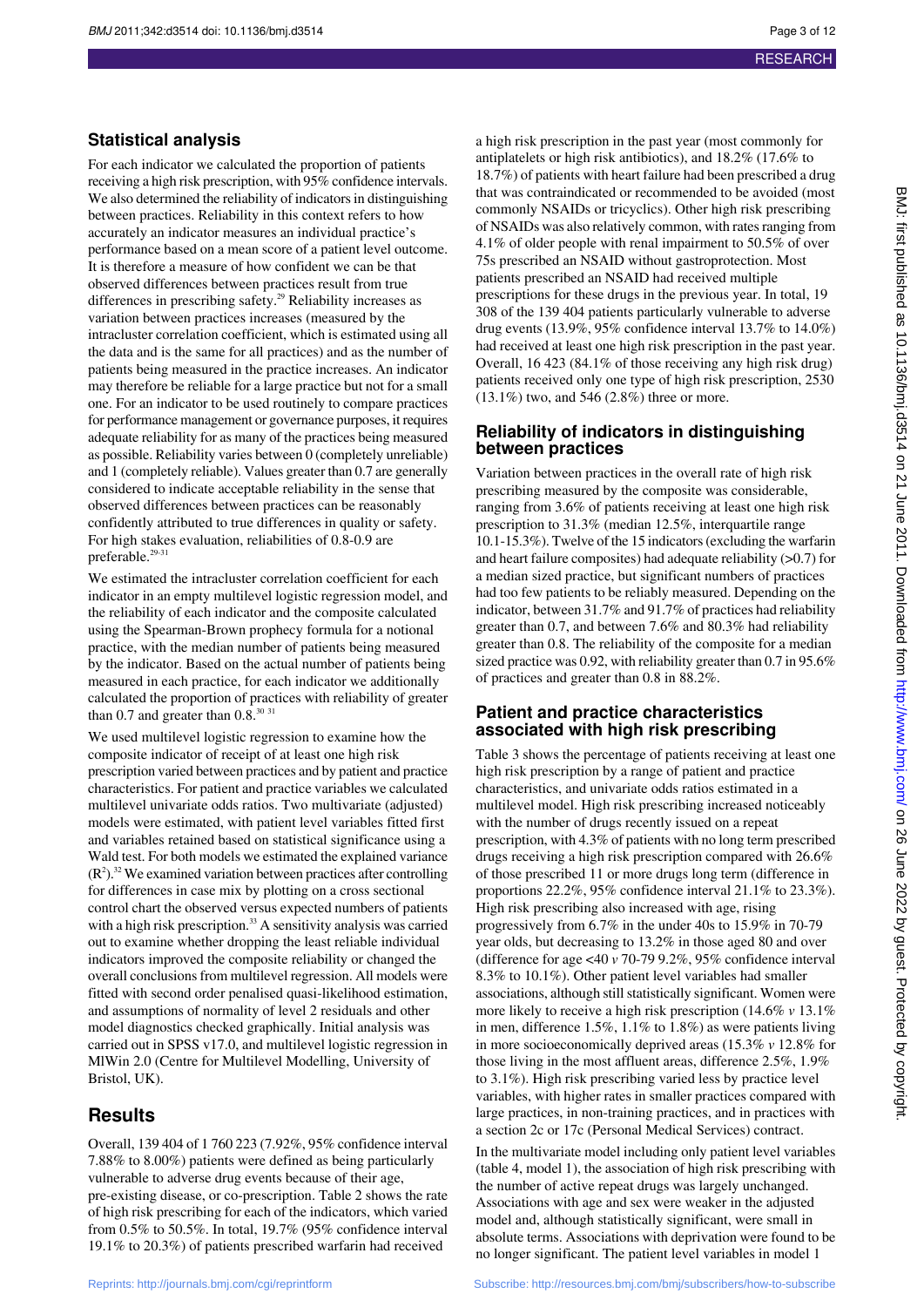#### **Statistical analysis**

For each indicator we calculated the proportion of patients receiving a high risk prescription, with 95% confidence intervals. We also determined the reliability of indicators in distinguishing between practices. Reliability in this context refers to how accurately an indicator measures an individual practice's performance based on a mean score of a patient level outcome. It is therefore a measure of how confident we can be that observed differences between practices result from true differences in prescribing safety.<sup>29</sup> Reliability increases as variation between practices increases (measured by the intracluster correlation coefficient, which is estimated using all the data and is the same for all practices) and as the number of patients being measured in the practice increases. An indicator may therefore be reliable for a large practice but not for a small one. For an indicator to be used routinely to compare practices for performance management or governance purposes, it requires adequate reliability for as many of the practices being measured as possible. Reliability varies between 0 (completely unreliable) and 1 (completely reliable). Values greater than 0.7 are generally considered to indicate acceptable reliability in the sense that observed differences between practices can be reasonably confidently attributed to true differences in quality or safety. For high stakes evaluation, reliabilities of 0.8-0.9 are preferable.<sup>29-31</sup>

We estimated the intracluster correlation coefficient for each indicator in an empty multilevel logistic regression model, and the reliability of each indicator and the composite calculated using the Spearman-Brown prophecy formula for a notional practice, with the median number of patients being measured by the indicator. Based on the actual number of patients being measured in each practice, for each indicator we additionally calculated the proportion of practices with reliability of greater than 0.7 and greater than  $0.8^{3031}$ 

We used multilevel logistic regression to examine how the composite indicator of receipt of at least one high risk prescription varied between practices and by patient and practice characteristics. For patient and practice variables we calculated multilevel univariate odds ratios. Two multivariate (adjusted) models were estimated, with patient level variables fitted first and variables retained based on statistical significance using a Wald test. For both models we estimated the explained variance  $(R<sup>2</sup>)$ .<sup>32</sup> We examined variation between practices after controlling for differences in case mix by plotting on a cross sectional control chart the observed versus expected numbers of patients with a high risk prescription.<sup>33</sup> A sensitivity analysis was carried out to examine whether dropping the least reliable individual indicators improved the composite reliability or changed the overall conclusions from multilevel regression. All models were fitted with second order penalised quasi-likelihood estimation, and assumptions of normality of level 2 residuals and other model diagnostics checked graphically. Initial analysis was carried out in SPSS v17.0, and multilevel logistic regression in MlWin 2.0 (Centre for Multilevel Modelling, University of Bristol, UK).

#### **Results**

Overall, 139 404 of 1 760 223 (7.92%, 95% confidence interval 7.88% to 8.00%) patients were defined as being particularly vulnerable to adverse drug events because of their age, pre-existing disease, or co-prescription. Table 2 shows the rate of high risk prescribing for each of the indicators, which varied from 0.5% to 50.5%. In total, 19.7% (95% confidence interval 19.1% to 20.3%) of patients prescribed warfarin had received

a high risk prescription in the past year (most commonly for antiplatelets or high risk antibiotics), and 18.2% (17.6% to 18.7%) of patients with heart failure had been prescribed a drug that was contraindicated or recommended to be avoided (most commonly NSAIDs or tricyclics). Other high risk prescribing of NSAIDs was also relatively common, with rates ranging from 4.1% of older people with renal impairment to 50.5% of over 75s prescribed an NSAID without gastroprotection. Most patients prescribed an NSAID had received multiple prescriptions for these drugs in the previous year. In total, 19 308 of the 139 404 patients particularly vulnerable to adverse drug events (13.9%, 95% confidence interval 13.7% to 14.0%) had received at least one high risk prescription in the past year. Overall, 16 423 (84.1% of those receiving any high risk drug) patients received only one type of high risk prescription, 2530 (13.1%) two, and 546 (2.8%) three or more.

#### **Reliability of indicators in distinguishing between practices**

Variation between practices in the overall rate of high risk prescribing measured by the composite was considerable, ranging from 3.6% of patients receiving at least one high risk prescription to 31.3% (median 12.5%, interquartile range 10.1-15.3%). Twelve of the 15 indicators (excluding the warfarin and heart failure composites) had adequate reliability (>0.7) for a median sized practice, but significant numbers of practices had too few patients to be reliably measured. Depending on the indicator, between 31.7% and 91.7% of practices had reliability greater than 0.7, and between 7.6% and 80.3% had reliability greater than 0.8. The reliability of the composite for a median sized practice was 0.92, with reliability greater than 0.7 in 95.6% of practices and greater than 0.8 in 88.2%.

#### **Patient and practice characteristics associated with high risk prescribing**

Table 3 shows the percentage of patients receiving at least one high risk prescription by a range of patient and practice characteristics, and univariate odds ratios estimated in a multilevel model. High risk prescribing increased noticeably with the number of drugs recently issued on a repeat prescription, with 4.3% of patients with no long term prescribed drugs receiving a high risk prescription compared with 26.6% of those prescribed 11 or more drugs long term (difference in proportions 22.2%, 95% confidence interval 21.1% to 23.3%). High risk prescribing also increased with age, rising progressively from 6.7% in the under 40s to 15.9% in 70-79 year olds, but decreasing to 13.2% in those aged 80 and over (difference for age <40 *v* 70-79 9.2%, 95% confidence interval 8.3% to 10.1%). Other patient level variables had smaller associations, although still statistically significant. Women were more likely to receive a high risk prescription (14.6% *v* 13.1% in men, difference 1.5%, 1.1% to 1.8%) as were patients living in more socioeconomically deprived areas (15.3% *v* 12.8% for those living in the most affluent areas, difference 2.5%, 1.9% to 3.1%). High risk prescribing varied less by practice level variables, with higher rates in smaller practices compared with large practices, in non-training practices, and in practices with a section 2c or 17c (Personal Medical Services) contract.

In the multivariate model including only patient level variables (table 4, model 1), the association of high risk prescribing with the number of active repeat drugs was largely unchanged. Associations with age and sex were weaker in the adjusted model and, although statistically significant, were small in absolute terms. Associations with deprivation were found to be no longer significant. The patient level variables in model 1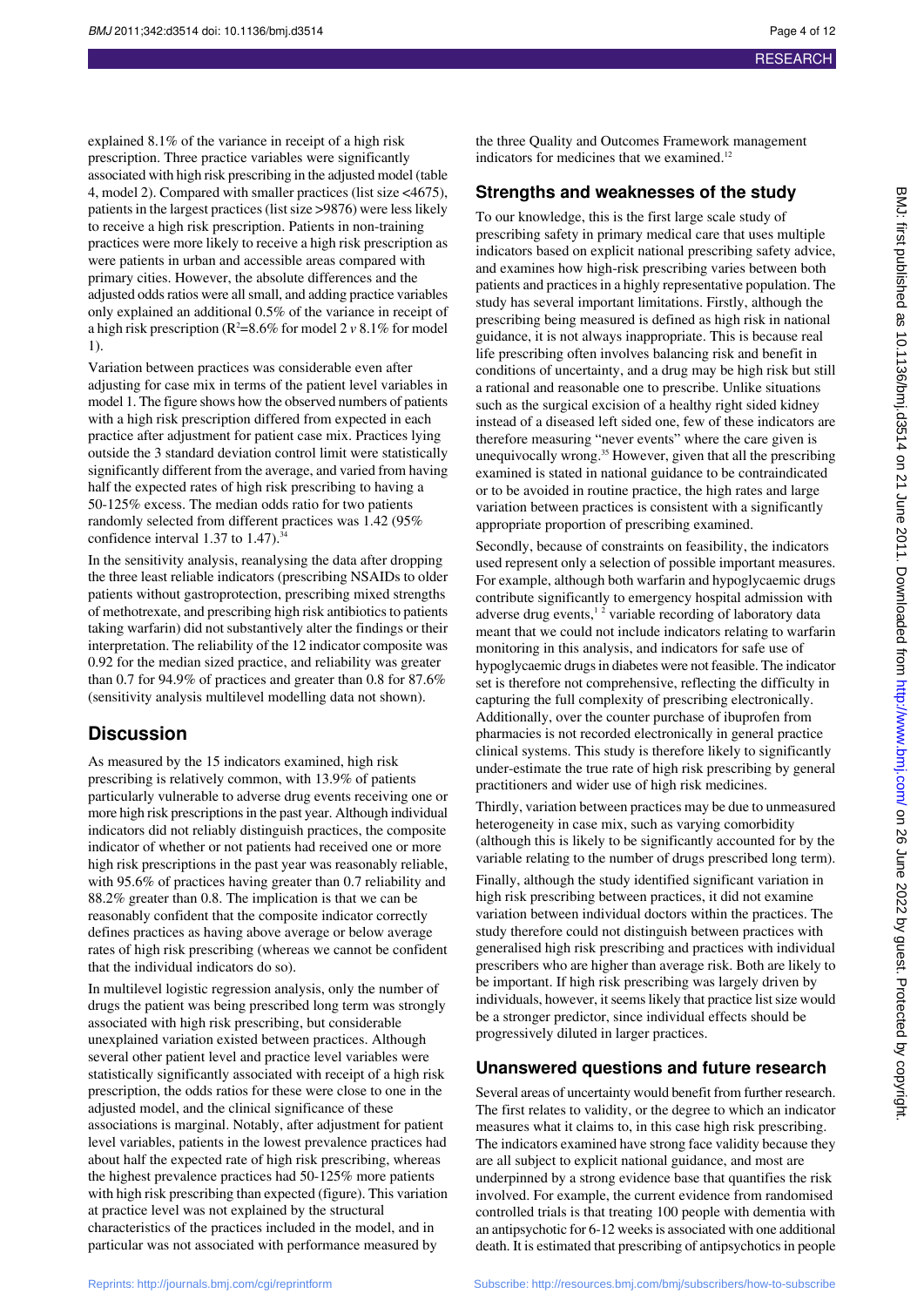explained 8.1% of the variance in receipt of a high risk prescription. Three practice variables were significantly associated with high risk prescribing in the adjusted model (table 4, model 2). Compared with smaller practices (list size <4675), patients in the largest practices (list size >9876) were less likely to receive a high risk prescription. Patients in non-training practices were more likely to receive a high risk prescription as were patients in urban and accessible areas compared with primary cities. However, the absolute differences and the adjusted odds ratios were all small, and adding practice variables only explained an additional 0.5% of the variance in receipt of a high risk prescription ( $R^2$ =8.6% for model 2  $\nu$  8.1% for model 1).

Variation between practices was considerable even after adjusting for case mix in terms of the patient level variables in model 1. The figure shows how the observed numbers of patients with a high risk prescription differed from expected in each practice after adjustment for patient case mix. Practices lying outside the 3 standard deviation control limit were statistically significantly different from the average, and varied from having half the expected rates of high risk prescribing to having a 50-125% excess. The median odds ratio for two patients randomly selected from different practices was 1.42 (95% confidence interval 1.37 to 1.47).<sup>34</sup>

In the sensitivity analysis, reanalysing the data after dropping the three least reliable indicators (prescribing NSAIDs to older patients without gastroprotection, prescribing mixed strengths of methotrexate, and prescribing high risk antibiotics to patients taking warfarin) did not substantively alter the findings or their interpretation. The reliability of the 12 indicator composite was 0.92 for the median sized practice, and reliability was greater than 0.7 for 94.9% of practices and greater than 0.8 for 87.6% (sensitivity analysis multilevel modelling data not shown).

#### **Discussion**

As measured by the 15 indicators examined, high risk prescribing is relatively common, with 13.9% of patients particularly vulnerable to adverse drug events receiving one or more high risk prescriptions in the past year. Although individual indicators did not reliably distinguish practices, the composite indicator of whether or not patients had received one or more high risk prescriptions in the past year was reasonably reliable, with 95.6% of practices having greater than 0.7 reliability and 88.2% greater than 0.8. The implication is that we can be reasonably confident that the composite indicator correctly defines practices as having above average or below average rates of high risk prescribing (whereas we cannot be confident that the individual indicators do so).

In multilevel logistic regression analysis, only the number of drugs the patient was being prescribed long term was strongly associated with high risk prescribing, but considerable unexplained variation existed between practices. Although several other patient level and practice level variables were statistically significantly associated with receipt of a high risk prescription, the odds ratios for these were close to one in the adjusted model, and the clinical significance of these associations is marginal. Notably, after adjustment for patient level variables, patients in the lowest prevalence practices had about half the expected rate of high risk prescribing, whereas the highest prevalence practices had 50-125% more patients with high risk prescribing than expected (figure). This variation at practice level was not explained by the structural characteristics of the practices included in the model, and in particular was not associated with performance measured by

#### **Strengths and weaknesses of the study**

To our knowledge, this is the first large scale study of prescribing safety in primary medical care that uses multiple indicators based on explicit national prescribing safety advice, and examines how high-risk prescribing varies between both patients and practices in a highly representative population. The study has several important limitations. Firstly, although the prescribing being measured is defined as high risk in national guidance, it is not always inappropriate. This is because real life prescribing often involves balancing risk and benefit in conditions of uncertainty, and a drug may be high risk but still a rational and reasonable one to prescribe. Unlike situations such as the surgical excision of a healthy right sided kidney instead of a diseased left sided one, few of these indicators are therefore measuring "never events" where the care given is unequivocally wrong.<sup>35</sup> However, given that all the prescribing examined is stated in national guidance to be contraindicated or to be avoided in routine practice, the high rates and large variation between practices is consistent with a significantly appropriate proportion of prescribing examined.

Secondly, because of constraints on feasibility, the indicators used represent only a selection of possible important measures. For example, although both warfarin and hypoglycaemic drugs contribute significantly to emergency hospital admission with adverse drug events,<sup>12</sup> variable recording of laboratory data meant that we could not include indicators relating to warfarin monitoring in this analysis, and indicators for safe use of hypoglycaemic drugs in diabetes were not feasible. The indicator set is therefore not comprehensive, reflecting the difficulty in capturing the full complexity of prescribing electronically. Additionally, over the counter purchase of ibuprofen from pharmacies is not recorded electronically in general practice clinical systems. This study is therefore likely to significantly under-estimate the true rate of high risk prescribing by general practitioners and wider use of high risk medicines.

Thirdly, variation between practices may be due to unmeasured heterogeneity in case mix, such as varying comorbidity (although this is likely to be significantly accounted for by the variable relating to the number of drugs prescribed long term).

Finally, although the study identified significant variation in high risk prescribing between practices, it did not examine variation between individual doctors within the practices. The study therefore could not distinguish between practices with generalised high risk prescribing and practices with individual prescribers who are higher than average risk. Both are likely to be important. If high risk prescribing was largely driven by individuals, however, it seems likely that practice list size would be a stronger predictor, since individual effects should be progressively diluted in larger practices.

#### **Unanswered questions and future research**

Several areas of uncertainty would benefit from further research. The first relates to validity, or the degree to which an indicator measures what it claims to, in this case high risk prescribing. The indicators examined have strong face validity because they are all subject to explicit national guidance, and most are underpinned by a strong evidence base that quantifies the risk involved. For example, the current evidence from randomised controlled trials is that treating 100 people with dementia with an antipsychotic for 6-12 weeks is associated with one additional death. It is estimated that prescribing of antipsychotics in people

**RESEARCH**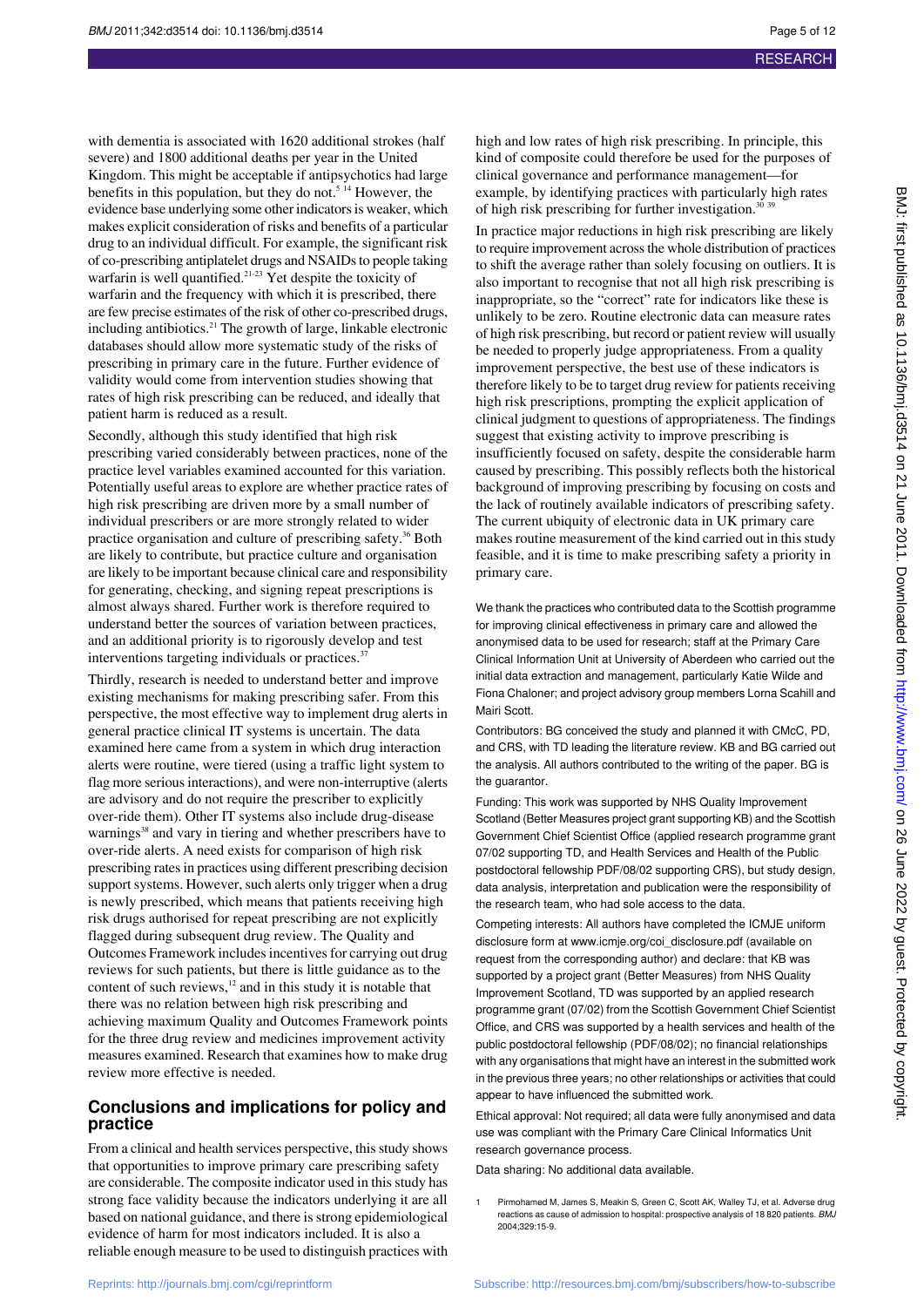with dementia is associated with 1620 additional strokes (half severe) and 1800 additional deaths per year in the United Kingdom. This might be acceptable if antipsychotics had large benefits in this population, but they do not.<sup>5 14</sup> However, the evidence base underlying some other indicators is weaker, which makes explicit consideration of risks and benefits of a particular drug to an individual difficult. For example, the significant risk of co-prescribing antiplatelet drugs and NSAIDs to people taking warfarin is well quantified.<sup>21-23</sup> Yet despite the toxicity of warfarin and the frequency with which it is prescribed, there are few precise estimates of the risk of other co-prescribed drugs, including antibiotics.<sup>21</sup> The growth of large, linkable electronic databases should allow more systematic study of the risks of prescribing in primary care in the future. Further evidence of validity would come from intervention studies showing that rates of high risk prescribing can be reduced, and ideally that patient harm is reduced as a result.

Secondly, although this study identified that high risk prescribing varied considerably between practices, none of the practice level variables examined accounted for this variation. Potentially useful areas to explore are whether practice rates of high risk prescribing are driven more by a small number of individual prescribers or are more strongly related to wider practice organisation and culture of prescribing safety.<sup>36</sup> Both are likely to contribute, but practice culture and organisation are likely to be important because clinical care and responsibility for generating, checking, and signing repeat prescriptions is almost always shared. Further work is therefore required to understand better the sources of variation between practices, and an additional priority is to rigorously develop and test interventions targeting individuals or practices.<sup>3</sup>

Thirdly, research is needed to understand better and improve existing mechanisms for making prescribing safer. From this perspective, the most effective way to implement drug alerts in general practice clinical IT systems is uncertain. The data examined here came from a system in which drug interaction alerts were routine, were tiered (using a traffic light system to flag more serious interactions), and were non-interruptive (alerts are advisory and do not require the prescriber to explicitly over-ride them). Other IT systems also include drug-disease warnings<sup>38</sup> and vary in tiering and whether prescribers have to over-ride alerts. A need exists for comparison of high risk prescribing rates in practices using different prescribing decision support systems. However, such alerts only trigger when a drug is newly prescribed, which means that patients receiving high risk drugs authorised for repeat prescribing are not explicitly flagged during subsequent drug review. The Quality and Outcomes Framework includes incentives for carrying out drug reviews for such patients, but there is little guidance as to the content of such reviews,<sup>12</sup> and in this study it is notable that there was no relation between high risk prescribing and achieving maximum Quality and Outcomes Framework points for the three drug review and medicines improvement activity measures examined. Research that examines how to make drug review more effective is needed.

#### **Conclusions and implications for policy and practice**

From a clinical and health services perspective, this study shows that opportunities to improve primary care prescribing safety are considerable. The composite indicator used in this study has strong face validity because the indicators underlying it are all based on national guidance, and there is strong epidemiological evidence of harm for most indicators included. It is also a reliable enough measure to be used to distinguish practices with high and low rates of high risk prescribing. In principle, this kind of composite could therefore be used for the purposes of clinical governance and performance management—for example, by identifying practices with particularly high rates of high risk prescribing for further investigation.<sup>30 39</sup>

In practice major reductions in high risk prescribing are likely to require improvement across the whole distribution of practices to shift the average rather than solely focusing on outliers. It is also important to recognise that not all high risk prescribing is inappropriate, so the "correct" rate for indicators like these is unlikely to be zero. Routine electronic data can measure rates of high risk prescribing, but record or patient review will usually be needed to properly judge appropriateness. From a quality improvement perspective, the best use of these indicators is therefore likely to be to target drug review for patients receiving high risk prescriptions, prompting the explicit application of clinical judgment to questions of appropriateness. The findings suggest that existing activity to improve prescribing is insufficiently focused on safety, despite the considerable harm caused by prescribing. This possibly reflects both the historical background of improving prescribing by focusing on costs and the lack of routinely available indicators of prescribing safety. The current ubiquity of electronic data in UK primary care makes routine measurement of the kind carried out in this study feasible, and it is time to make prescribing safety a priority in primary care.

We thank the practices who contributed data to the Scottish programme for improving clinical effectiveness in primary care and allowed the anonymised data to be used for research; staff at the Primary Care Clinical Information Unit at University of Aberdeen who carried out the initial data extraction and management, particularly Katie Wilde and Fiona Chaloner; and project advisory group members Lorna Scahill and Mairi Scott.

Contributors: BG conceived the study and planned it with CMcC, PD, and CRS, with TD leading the literature review. KB and BG carried out the analysis. All authors contributed to the writing of the paper. BG is the guarantor.

Funding: This work was supported by NHS Quality Improvement Scotland (Better Measures project grant supporting KB) and the Scottish Government Chief Scientist Office (applied research programme grant 07/02 supporting TD, and Health Services and Health of the Public postdoctoral fellowship PDF/08/02 supporting CRS), but study design, data analysis, interpretation and publication were the responsibility of the research team, who had sole access to the data.

Competing interests: All authors have completed the ICMJE uniform disclosure form at www.icmje.org/coi\_disclosure.pdf (available on request from the corresponding author) and declare: that KB was supported by a project grant (Better Measures) from NHS Quality Improvement Scotland, TD was supported by an applied research programme grant (07/02) from the Scottish Government Chief Scientist Office, and CRS was supported by a health services and health of the public postdoctoral fellowship (PDF/08/02); no financial relationships with any organisations that might have an interest in the submitted work in the previous three years; no other relationships or activities that could appear to have influenced the submitted work.

Ethical approval: Not required; all data were fully anonymised and data use was compliant with the Primary Care Clinical Informatics Unit research governance process.

Data sharing: No additional data available.

1 Pirmohamed M, James S, Meakin S, Green C, Scott AK, Walley TJ, et al. Adverse drug reactions as cause of admission to hospital: prospective analysis of 18 820 patients. BMJ 2004;329:15-9.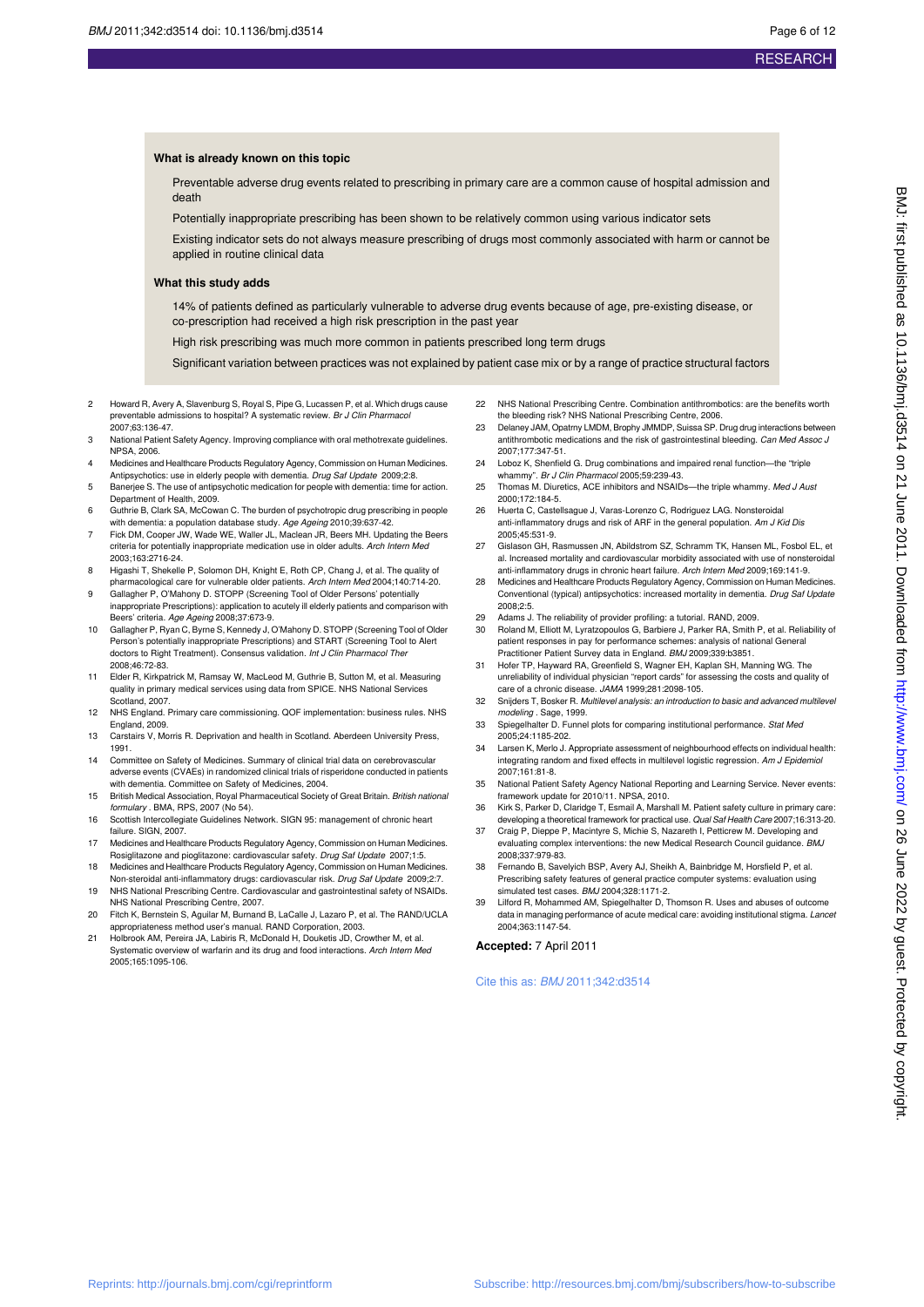#### **What is already known on this topic**

Preventable adverse drug events related to prescribing in primary care are a common cause of hospital admission and death

Potentially inappropriate prescribing has been shown to be relatively common using various indicator sets

Existing indicator sets do not always measure prescribing of drugs most commonly associated with harm or cannot be applied in routine clinical data

#### **What this study adds**

14% of patients defined as particularly vulnerable to adverse drug events because of age, pre-existing disease, or co-prescription had received a high risk prescription in the past year

High risk prescribing was much more common in patients prescribed long term drugs

Significant variation between practices was not explained by patient case mix or by a range of practice structural factors

- 2 Howard R, Avery A, Slavenburg S, Royal S, Pipe G, Lucassen P, et al. Which drugs cause preventable admissions to hospital? A systematic review. Br J Clin Pharmaco 2007;63:136-47.
- 3 National Patient Safety Agency. Improving compliance with oral methotrexate guidelines. NPSA, 2006.
- 4 Medicines and Healthcare Products Regulatory Agency, Commission on Human Medicines. Antipsychotics: use in elderly people with dementia. Drug Saf Update 2009;2:8.
- 5 Banerjee S. The use of antipsychotic medication for people with dementia: time for action. Department of Health, 2009.
- 6 Guthrie B, Clark SA, McCowan C. The burden of psychotropic drug prescribing in people with dementia: a population database study. Age Ageing 2010;39:637-42.
- 7 Fick DM, Cooper JW, Wade WE, Waller JL, Maclean JR, Beers MH. Updating the Beers criteria for potentially inappropriate medication use in older adults. Arch Intern Med 2003;163:2716-24.
- 8 Higashi T, Shekelle P, Solomon DH, Knight E, Roth CP, Chang J, et al. The quality of pharmacological care for vulnerable older patients. Arch Intern Med 2004;140:714-20.
- 9 Gallagher P, O'Mahony D. STOPP (Screening Tool of Older Persons' potentially inappropriate Prescriptions): application to acutely ill elderly patients and comparison with Beers' criteria. Age Ageing 2008;37:673-9.
- 10 Gallagher P, Ryan C, Byrne S, Kennedy J, O'Mahony D. STOPP (Screening Tool of Older Person's potentially inappropriate Prescriptions) and START (Screening Tool to Alert doctors to Right Treatment). Consensus validation. Int J Clin Pharmacol There 2008;46:72-83.
- 11 Elder R, Kirkpatrick M, Ramsay W, MacLeod M, Guthrie B, Sutton M, et al. Measuring quality in primary medical services using data from SPICE. NHS National Services Scotland, 2007.
- 12 NHS England. Primary care commissioning. QOF implementation: business rules. NHS England, 2009.
- 13 Carstairs V, Morris R. Deprivation and health in Scotland. Aberdeen University Press, 1991.
- 14 Committee on Safety of Medicines. Summary of clinical trial data on cerebrovascular adverse events (CVAEs) in randomized clinical trials of risperidone conducted in patients with dementia. Committee on Safety of Medicines, 2004.
- 15 British Medical Association, Royal Pharmaceutical Society of Great Britain. British national formulary . BMA, RPS, 2007 (No 54).
- 16 Scottish Intercollegiate Guidelines Network. SIGN 95: management of chronic heart failure. SIGN, 2007.
- 17 Medicines and Healthcare Products Regulatory Agency, Commission on Human Medicines. Rosiglitazone and pioglitazone: cardiovascular safety. Drug Saf Update 2007;1:5.
- 18 Medicines and Healthcare Products Regulatory Agency, Commission on Human Medicines. Non-steroidal anti-inflammatory drugs: cardiovascular risk. Drug Saf Update 2009;2:7. 19 NHS National Prescribing Centre. Cardiovascular and gastrointestinal safety of NSAIDs.
- NHS National Prescribing Centre, 2007. 20 Fitch K, Bernstein S, Aguilar M, Burnand B, LaCalle J, Lazaro P, et al. The RAND/UCLA
- appropriateness method user's manual. RAND Corporation, 2003. 21 Holbrook AM, Pereira JA, Labiris R, McDonald H, Douketis JD, Crowther M, et al.
- Systematic overview of warfarin and its drug and food interactions. Arch Intern Med 2005;165:1095-106.
- 22 NHS National Prescribing Centre. Combination antithrombotics: are the benefits worth the bleeding risk? NHS National Prescribing Centre, 2006.
- 23 Delaney JAM, Opatrny LMDM, Brophy JMMDP, Suissa SP. Drug drug interactions between antithrombotic medications and the risk of gastrointestinal bleeding. Can Med Assoc J 2007;177:347-51.
- 24 Loboz K, Shenfield G. Drug combinations and impaired renal function—the "triple whammy". Br J Clin Pharmacol 2005;59:239-43.
- 25 Thomas M. Diuretics, ACE inhibitors and NSAIDs—the triple whammy. Med J Aust 2000;172:184-5.
- 26 Huerta C, Castellsague J, Varas-Lorenzo C, Rodriguez LAG. Nonsteroidal anti-inflammatory drugs and risk of ARF in the general population. Am J Kid Dis 2005;45:531-9.
- 27 Gislason GH, Rasmussen JN, Abildstrom SZ, Schramm TK, Hansen ML, Fosbol EL, et al. Increased mortality and cardiovascular morbidity associated with use of nonsteroidal anti-inflammatory drugs in chronic heart failure. Arch Intern Med 2009;169:141-9.
- 28 Medicines and Healthcare Products Regulatory Agency, Commission on Human Medicines. Conventional (typical) antipsychotics: increased mortality in dementia. Drug Saf Update 2008;2:5.
- Adams J. The reliability of provider profiling: a tutorial. RAND, 2009.
- 30 Roland M, Elliott M, Lyratzopoulos G, Barbiere J, Parker RA, Smith P, et al. Reliability of patient responses in pay for performance schemes: analysis of national General Practitioner Patient Survey data in England. BMJ 2009;339:b3851.
- 31 Hofer TP, Hayward RA, Greenfield S, Wagner EH, Kaplan SH, Manning WG. The unreliability of individual physician "report cards" for assessing the costs and quality of care of a chronic disease. JAMA 1999;281:2098-105.
- 32 Snijders T, Bosker R. Multilevel analysis: an introduction to basic and advanced multilevel modeling . Sage, 1999.
- 33 Spiegelhalter D. Funnel plots for comparing institutional performance. Stat Med 2005;24:1185-202.
- 34 Larsen K, Merlo J. Appropriate assessment of neighbourhood effects on individual health: integrating random and fixed effects in multilevel logistic regression. Am J Epidemiol 2007;161:81-8.
- 35 National Patient Safety Agency National Reporting and Learning Service. Never events: framework update for 2010/11. NPSA, 2010.
- 36 Kirk S, Parker D, Claridge T, Esmail A, Marshall M. Patient safety culture in primary care: developing a theoretical framework for practical use. Qual Saf Health Care 2007;16:313-20.
- 37 Craig P, Dieppe P, Macintyre S, Michie S, Nazareth I, Petticrew M. Developing and evaluating complex interventions: the new Medical Research Council guidance. BMJ 2008;337:979-83.
- 38 Fernando B, Savelyich BSP, Avery AJ, Sheikh A, Bainbridge M, Horsfield P, et al. Prescribing safety features of general practice computer systems: evaluation using simulated test cases. BMJ 2004;328:1171-2.
- 39 Lilford R, Mohammed AM, Spiegelhalter D, Thomson R. Uses and abuses of outcome data in managing performance of acute medical care: avoiding institutional stigma. Lancet 2004;363:1147-54.

**Accepted:** 7 April 2011

Cite this as: *BMJ* 2011;342:d3514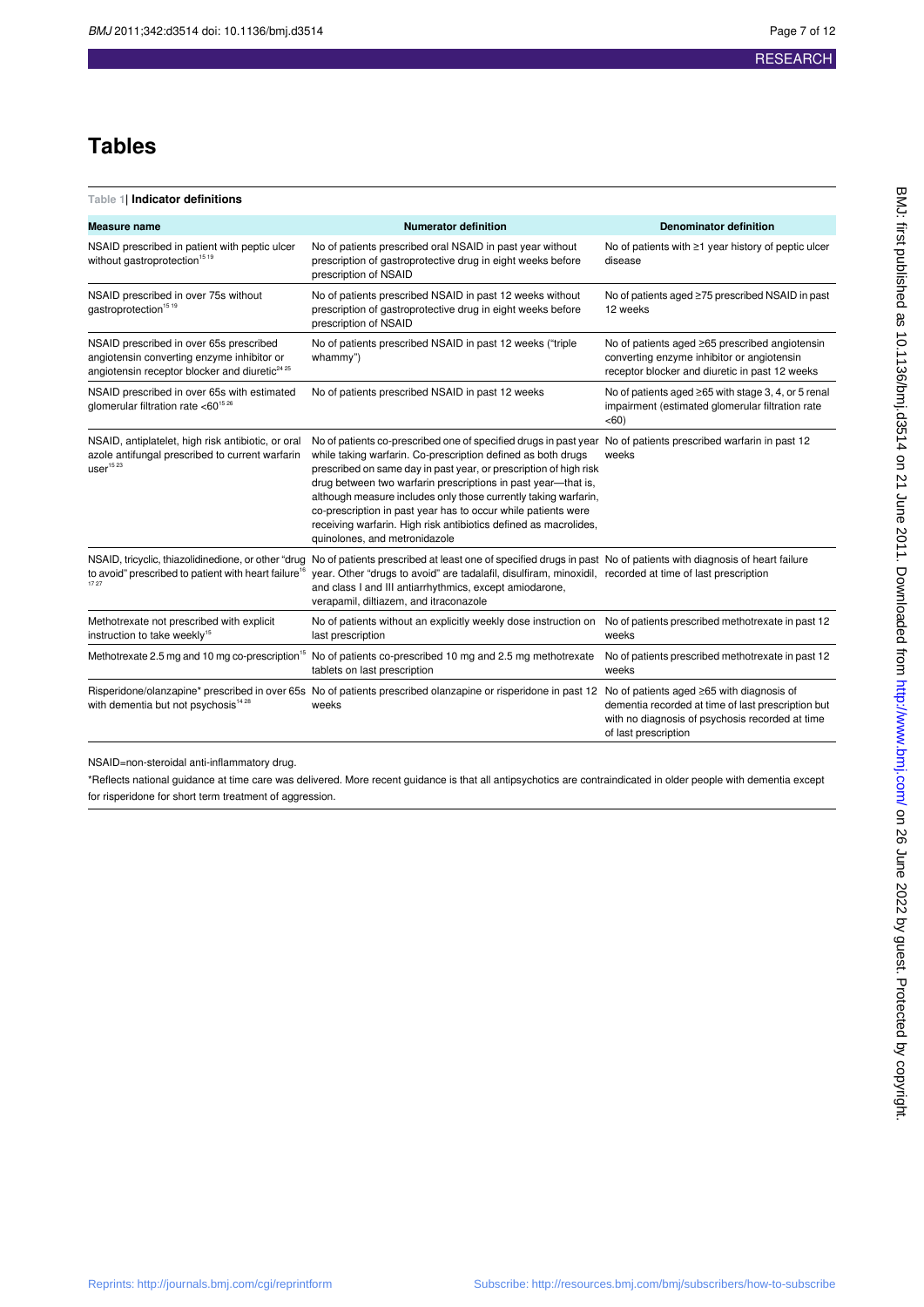### **Tables**

#### **Table 1| Indicator definitions**

| Measure name                                                                                                                                        | <b>Numerator definition</b>                                                                                                                                                                                                                                                                                                                                                                                                                                                                                     | <b>Denominator definition</b>                                                                                                                                                    |
|-----------------------------------------------------------------------------------------------------------------------------------------------------|-----------------------------------------------------------------------------------------------------------------------------------------------------------------------------------------------------------------------------------------------------------------------------------------------------------------------------------------------------------------------------------------------------------------------------------------------------------------------------------------------------------------|----------------------------------------------------------------------------------------------------------------------------------------------------------------------------------|
| NSAID prescribed in patient with peptic ulcer<br>without gastroprotection <sup>15 19</sup>                                                          | No of patients prescribed oral NSAID in past year without<br>prescription of gastroprotective drug in eight weeks before<br>prescription of NSAID                                                                                                                                                                                                                                                                                                                                                               | No of patients with $\geq 1$ year history of peptic ulcer<br>disease                                                                                                             |
| NSAID prescribed in over 75s without<br>gastroprotection <sup>15</sup> <sup>19</sup>                                                                | No of patients prescribed NSAID in past 12 weeks without<br>prescription of gastroprotective drug in eight weeks before<br>prescription of NSAID                                                                                                                                                                                                                                                                                                                                                                | No of patients aged ≥75 prescribed NSAID in past<br>12 weeks                                                                                                                     |
| NSAID prescribed in over 65s prescribed<br>angiotensin converting enzyme inhibitor or<br>angiotensin receptor blocker and diuretic <sup>24 25</sup> | No of patients prescribed NSAID in past 12 weeks ("triple"<br>whammy")                                                                                                                                                                                                                                                                                                                                                                                                                                          | No of patients aged ≥65 prescribed angiotensin<br>converting enzyme inhibitor or angiotensin<br>receptor blocker and diuretic in past 12 weeks                                   |
| NSAID prescribed in over 65s with estimated<br>glomerular filtration rate $<$ 60 <sup>1526</sup>                                                    | No of patients prescribed NSAID in past 12 weeks                                                                                                                                                                                                                                                                                                                                                                                                                                                                | No of patients aged ≥65 with stage 3, 4, or 5 renal<br>impairment (estimated glomerular filtration rate<br>$< 60$ )                                                              |
| NSAID, antiplatelet, high risk antibiotic, or oral<br>azole antifungal prescribed to current warfarin<br>user <sup>15 23</sup>                      | No of patients co-prescribed one of specified drugs in past year<br>while taking warfarin. Co-prescription defined as both drugs<br>prescribed on same day in past year, or prescription of high risk<br>drug between two warfarin prescriptions in past year-that is,<br>although measure includes only those currently taking warfarin,<br>co-prescription in past year has to occur while patients were<br>receiving warfarin. High risk antibiotics defined as macrolides,<br>quinolones, and metronidazole | No of patients prescribed warfarin in past 12<br>weeks                                                                                                                           |
| NSAID, tricyclic, thiazolidinedione, or other "drug<br>to avoid" prescribed to patient with heart failure <sup>16</sup><br>1727                     | No of patients prescribed at least one of specified drugs in past No of patients with diagnosis of heart failure<br>year. Other "drugs to avoid" are tadalafil, disulfiram, minoxidil, recorded at time of last prescription<br>and class I and III antiarrhythmics, except amiodarone,<br>verapamil, diltiazem, and itraconazole                                                                                                                                                                               |                                                                                                                                                                                  |
| Methotrexate not prescribed with explicit<br>instruction to take weekly <sup>15</sup>                                                               | No of patients without an explicitly weekly dose instruction on<br>last prescription                                                                                                                                                                                                                                                                                                                                                                                                                            | No of patients prescribed methotrexate in past 12<br>weeks                                                                                                                       |
|                                                                                                                                                     | Methotrexate 2.5 mg and 10 mg co-prescription <sup>15</sup> No of patients co-prescribed 10 mg and 2.5 mg methotrexate<br>tablets on last prescription                                                                                                                                                                                                                                                                                                                                                          | No of patients prescribed methotrexate in past 12<br>weeks                                                                                                                       |
| with dementia but not psychosis <sup>14 28</sup>                                                                                                    | Risperidone/olanzapine* prescribed in over 65s No of patients prescribed olanzapine or risperidone in past 12<br>weeks                                                                                                                                                                                                                                                                                                                                                                                          | No of patients aged $\geq 65$ with diagnosis of<br>dementia recorded at time of last prescription but<br>with no diagnosis of psychosis recorded at time<br>of last prescription |

NSAID=non-steroidal anti-inflammatory drug.

\*Reflects national guidance at time care was delivered. More recent guidance is that all antipsychotics are contraindicated in older people with dementia except for risperidone for short term treatment of aggression.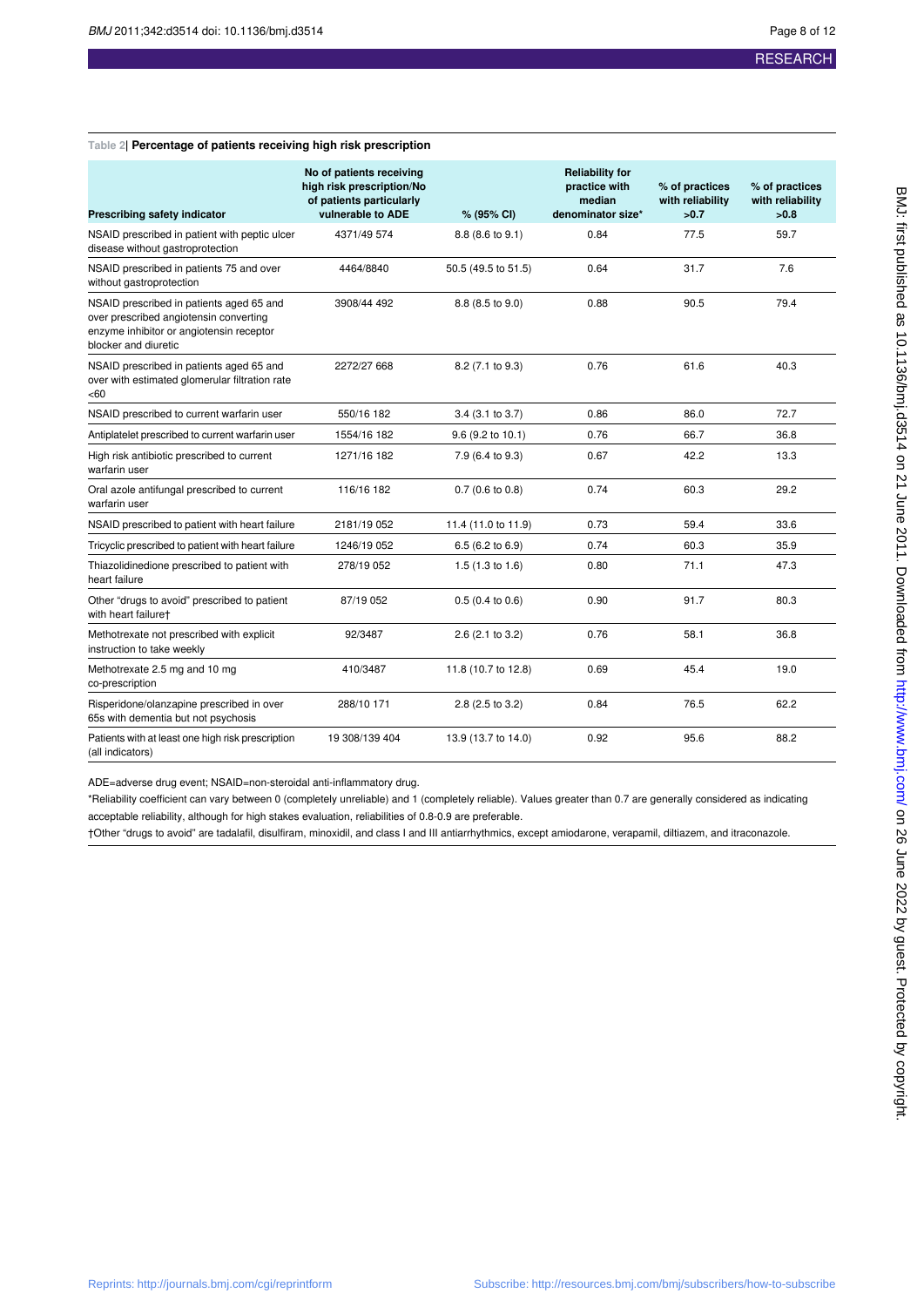#### **Table 2| Percentage of patients receiving high risk prescription**

| Prescribing safety indicator                                                                                                                           | No of patients receiving<br>high risk prescription/No<br>of patients particularly<br>vulnerable to ADE | % (95% CI)                 | <b>Reliability for</b><br>practice with<br>median<br>denominator size* | % of practices<br>with reliability<br>>0.7 | % of practices<br>with reliability<br>>0.8 |
|--------------------------------------------------------------------------------------------------------------------------------------------------------|--------------------------------------------------------------------------------------------------------|----------------------------|------------------------------------------------------------------------|--------------------------------------------|--------------------------------------------|
| NSAID prescribed in patient with peptic ulcer<br>disease without gastroprotection                                                                      | 4371/49 574                                                                                            | 8.8 (8.6 to 9.1)           | 0.84                                                                   | 77.5                                       | 59.7                                       |
| NSAID prescribed in patients 75 and over<br>without gastroprotection                                                                                   | 4464/8840                                                                                              | 50.5 (49.5 to 51.5)        | 0.64                                                                   | 31.7                                       | 7.6                                        |
| NSAID prescribed in patients aged 65 and<br>over prescribed angiotensin converting<br>enzyme inhibitor or angiotensin receptor<br>blocker and diuretic | 3908/44 492                                                                                            | 8.8 (8.5 to 9.0)           | 0.88                                                                   | 90.5                                       | 79.4                                       |
| NSAID prescribed in patients aged 65 and<br>over with estimated glomerular filtration rate<br><60                                                      | 2272/27 668                                                                                            | 8.2 (7.1 to 9.3)           | 0.76                                                                   | 61.6                                       | 40.3                                       |
| NSAID prescribed to current warfarin user                                                                                                              | 550/16 182                                                                                             | 3.4 (3.1 to 3.7)           | 0.86                                                                   | 86.0                                       | 72.7                                       |
| Antiplatelet prescribed to current warfarin user                                                                                                       | 1554/16 182                                                                                            | $9.6$ (9.2 to 10.1)        | 0.76                                                                   | 66.7                                       | 36.8                                       |
| High risk antibiotic prescribed to current<br>warfarin user                                                                                            | 1271/16 182                                                                                            | 7.9 (6.4 to 9.3)           | 0.67                                                                   | 42.2                                       | 13.3                                       |
| Oral azole antifungal prescribed to current<br>warfarin user                                                                                           | 116/16 182                                                                                             | $0.7(0.6 \text{ to } 0.8)$ | 0.74                                                                   | 60.3                                       | 29.2                                       |
| NSAID prescribed to patient with heart failure                                                                                                         | 2181/19 052                                                                                            | 11.4 (11.0 to 11.9)        | 0.73                                                                   | 59.4                                       | 33.6                                       |
| Tricyclic prescribed to patient with heart failure                                                                                                     | 1246/19 052                                                                                            | 6.5 (6.2 to 6.9)           | 0.74                                                                   | 60.3                                       | 35.9                                       |
| Thiazolidinedione prescribed to patient with<br>heart failure                                                                                          | 278/19 052                                                                                             | 1.5(1.3 to 1.6)            | 0.80                                                                   | 71.1                                       | 47.3                                       |
| Other "drugs to avoid" prescribed to patient<br>with heart failure+                                                                                    | 87/19 052                                                                                              | 0.5(0.4 to 0.6)            | 0.90                                                                   | 91.7                                       | 80.3                                       |
| Methotrexate not prescribed with explicit<br>instruction to take weekly                                                                                | 92/3487                                                                                                | 2.6 (2.1 to 3.2)           | 0.76                                                                   | 58.1                                       | 36.8                                       |
| Methotrexate 2.5 mg and 10 mg<br>co-prescription                                                                                                       | 410/3487                                                                                               | 11.8 (10.7 to 12.8)        | 0.69                                                                   | 45.4                                       | 19.0                                       |
| Risperidone/olanzapine prescribed in over<br>65s with dementia but not psychosis                                                                       | 288/10 171                                                                                             | 2.8 (2.5 to 3.2)           | 0.84                                                                   | 76.5                                       | 62.2                                       |
| Patients with at least one high risk prescription<br>(all indicators)                                                                                  | 19 308/139 404                                                                                         | 13.9 (13.7 to 14.0)        | 0.92                                                                   | 95.6                                       | 88.2                                       |

ADE=adverse drug event; NSAID=non-steroidal anti-inflammatory drug.

\*Reliability coefficient can vary between 0 (completely unreliable) and 1 (completely reliable). Values greater than 0.7 are generally considered as indicating acceptable reliability, although for high stakes evaluation, reliabilities of 0.8-0.9 are preferable.

†Other "drugs to avoid" are tadalafil, disulfiram, minoxidil, and class I and III antiarrhythmics, except amiodarone, verapamil, diltiazem, and itraconazole.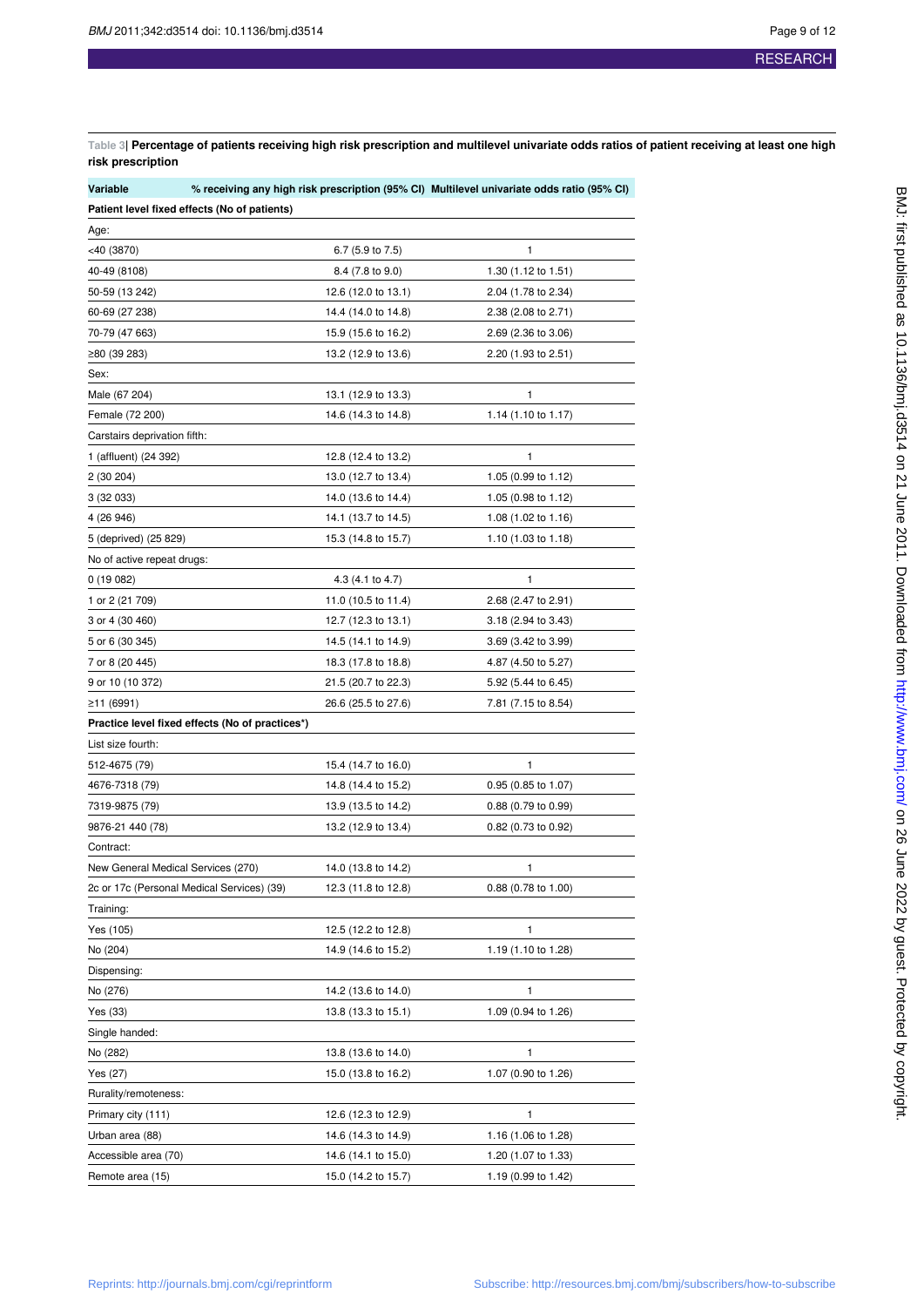**Table 3| Percentage of patients receiving high risk prescription and multilevel univariate odds ratios of patient receiving at least one high risk prescription**

| Variable                                        |                     | % receiving any high risk prescription (95% CI) Multilevel univariate odds ratio (95% CI) |
|-------------------------------------------------|---------------------|-------------------------------------------------------------------------------------------|
| Patient level fixed effects (No of patients)    |                     |                                                                                           |
| Age:                                            |                     |                                                                                           |
| <40 (3870)                                      | 6.7 (5.9 to 7.5)    | 1                                                                                         |
| 40-49 (8108)                                    | 8.4 (7.8 to 9.0)    | 1.30 (1.12 to 1.51)                                                                       |
| 50-59 (13 242)                                  | 12.6 (12.0 to 13.1) | 2.04 (1.78 to 2.34)                                                                       |
| 60-69 (27 238)                                  | 14.4 (14.0 to 14.8) | 2.38 (2.08 to 2.71)                                                                       |
| 70-79 (47 663)                                  | 15.9 (15.6 to 16.2) | 2.69 (2.36 to 3.06)                                                                       |
| ≥80 (39 283)                                    | 13.2 (12.9 to 13.6) | 2.20 (1.93 to 2.51)                                                                       |
| Sex:                                            |                     |                                                                                           |
| Male (67 204)                                   | 13.1 (12.9 to 13.3) | 1                                                                                         |
| Female (72 200)                                 | 14.6 (14.3 to 14.8) | 1.14 (1.10 to 1.17)                                                                       |
| Carstairs deprivation fifth:                    |                     |                                                                                           |
| 1 (affluent) (24 392)                           | 12.8 (12.4 to 13.2) | 1                                                                                         |
| 2 (30 204)                                      | 13.0 (12.7 to 13.4) | 1.05 (0.99 to 1.12)                                                                       |
| 3 (32 033)                                      | 14.0 (13.6 to 14.4) | 1.05 (0.98 to 1.12)                                                                       |
| 4 (26 946)                                      | 14.1 (13.7 to 14.5) | 1.08 (1.02 to 1.16)                                                                       |
| 5 (deprived) (25 829)                           | 15.3 (14.8 to 15.7) | 1.10 (1.03 to 1.18)                                                                       |
| No of active repeat drugs:                      |                     |                                                                                           |
| 0 (19 082)                                      | 4.3 (4.1 to 4.7)    | 1                                                                                         |
| 1 or 2 (21 709)                                 | 11.0 (10.5 to 11.4) | 2.68 (2.47 to 2.91)                                                                       |
| 3 or 4 (30 460)                                 | 12.7 (12.3 to 13.1) | 3.18 (2.94 to 3.43)                                                                       |
| 5 or 6 (30 345)                                 | 14.5 (14.1 to 14.9) | 3.69 (3.42 to 3.99)                                                                       |
| 7 or 8 (20 445)                                 | 18.3 (17.8 to 18.8) | 4.87 (4.50 to 5.27)                                                                       |
| 9 or 10 (10 372)                                | 21.5 (20.7 to 22.3) | 5.92 (5.44 to 6.45)                                                                       |
| ≥11 (6991)                                      | 26.6 (25.5 to 27.6) | 7.81 (7.15 to 8.54)                                                                       |
| Practice level fixed effects (No of practices*) |                     |                                                                                           |
| List size fourth:                               |                     |                                                                                           |
| 512-4675 (79)                                   | 15.4 (14.7 to 16.0) | 1                                                                                         |
| 4676-7318 (79)                                  | 14.8 (14.4 to 15.2) | $0.95(0.85)$ to 1.07)                                                                     |
| 7319-9875 (79)                                  | 13.9 (13.5 to 14.2) | $0.88(0.79)$ to $0.99$                                                                    |
| 9876-21 440 (78)                                | 13.2 (12.9 to 13.4) | $0.82$ (0.73 to 0.92)                                                                     |
| Contract:                                       |                     |                                                                                           |
| New General Medical Services (270)              | 14.0 (13.8 to 14.2) | 1                                                                                         |
| 2c or 17c (Personal Medical Services) (39)      | 12.3 (11.8 to 12.8) | 0.88 (0.78 to 1.00)                                                                       |
| Training:                                       |                     |                                                                                           |
| Yes (105)                                       | 12.5 (12.2 to 12.8) | 1                                                                                         |
| No (204)                                        | 14.9 (14.6 to 15.2) | 1.19 (1.10 to 1.28)                                                                       |
| Dispensing:                                     |                     |                                                                                           |
| No (276)                                        | 14.2 (13.6 to 14.0) | 1                                                                                         |
| Yes (33)                                        | 13.8 (13.3 to 15.1) | 1.09 (0.94 to 1.26)                                                                       |
| Single handed:                                  |                     |                                                                                           |
| No (282)                                        | 13.8 (13.6 to 14.0) | 1                                                                                         |
| Yes (27)                                        | 15.0 (13.8 to 16.2) | 1.07 (0.90 to 1.26)                                                                       |
| Rurality/remoteness:                            |                     |                                                                                           |
| Primary city (111)                              | 12.6 (12.3 to 12.9) | 1                                                                                         |
| Urban area (88)                                 | 14.6 (14.3 to 14.9) | 1.16 (1.06 to 1.28)                                                                       |
| Accessible area (70)                            | 14.6 (14.1 to 15.0) | 1.20 (1.07 to 1.33)                                                                       |
| Remote area (15)                                | 15.0 (14.2 to 15.7) | 1.19 (0.99 to 1.42)                                                                       |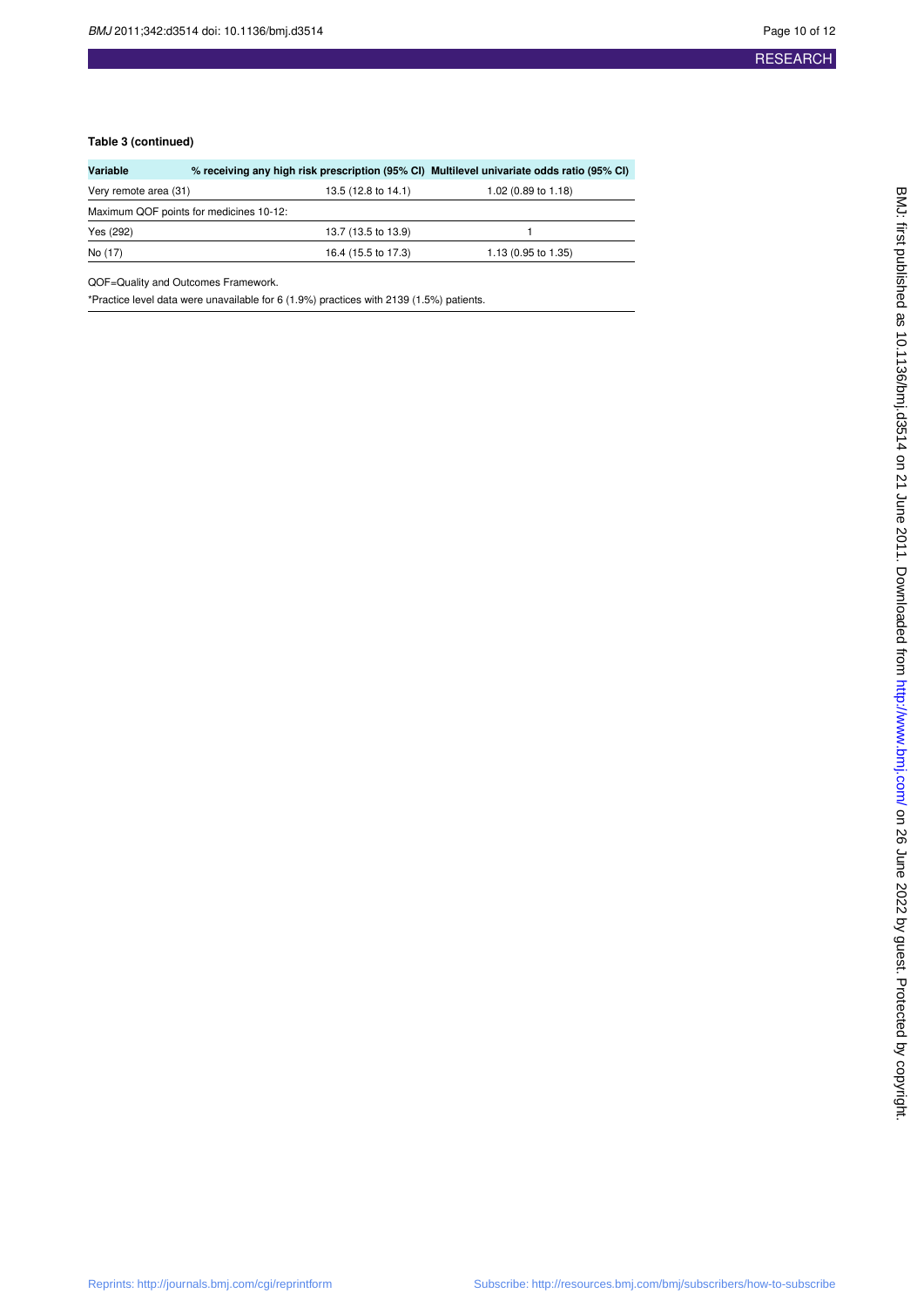#### **Table 3 (continued)**

| Variable                                | % receiving any high risk prescription (95% CI) Multilevel univariate odds ratio (95% CI) |                     |  |  |
|-----------------------------------------|-------------------------------------------------------------------------------------------|---------------------|--|--|
| Very remote area (31)                   | 13.5 (12.8 to 14.1)                                                                       | 1.02 (0.89 to 1.18) |  |  |
| Maximum QOF points for medicines 10-12: |                                                                                           |                     |  |  |
| Yes (292)                               | 13.7 (13.5 to 13.9)                                                                       |                     |  |  |
| No (17)                                 | 16.4 (15.5 to 17.3)                                                                       | 1.13 (0.95 to 1.35) |  |  |

QOF=Quality and Outcomes Framework.

\*Practice level data were unavailable for 6 (1.9%) practices with 2139 (1.5%) patients.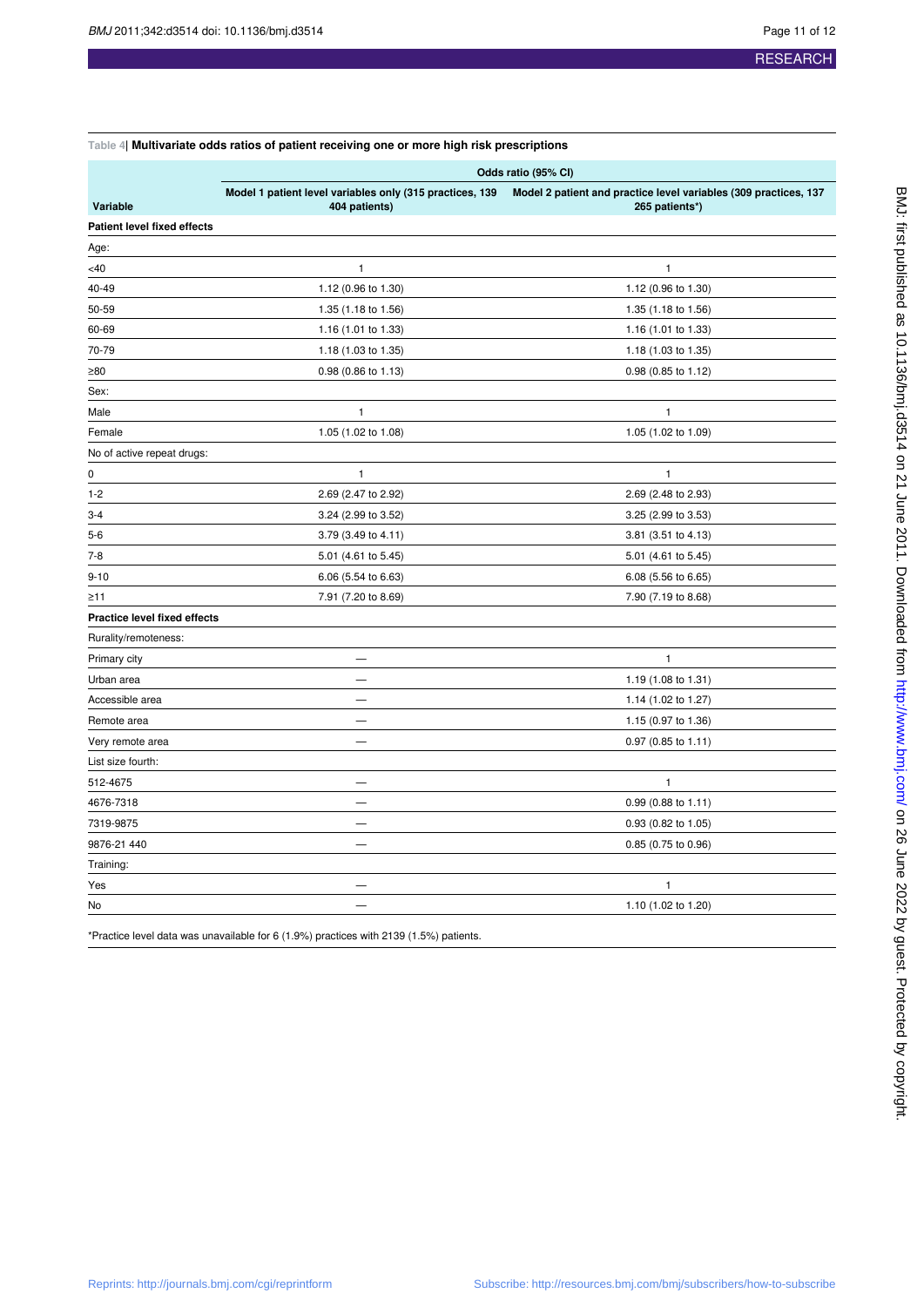#### **Table 4| Multivariate odds ratios of patient receiving one or more high risk prescriptions**

|                              | Odds ratio (95% CI)                                                       |                                                                                    |  |
|------------------------------|---------------------------------------------------------------------------|------------------------------------------------------------------------------------|--|
| Variable                     | Model 1 patient level variables only (315 practices, 139<br>404 patients) | Model 2 patient and practice level variables (309 practices, 137<br>265 patients*) |  |
| Patient level fixed effects  |                                                                           |                                                                                    |  |
| Age:                         |                                                                           |                                                                                    |  |
| <40                          | 1                                                                         | $\mathbf{1}$                                                                       |  |
| 40-49                        | 1.12 (0.96 to 1.30)                                                       | 1.12 (0.96 to 1.30)                                                                |  |
| 50-59                        | 1.35 (1.18 to 1.56)                                                       | 1.35 (1.18 to 1.56)                                                                |  |
| 60-69                        | 1.16 (1.01 to 1.33)                                                       | 1.16 (1.01 to 1.33)                                                                |  |
| 70-79                        | 1.18 (1.03 to 1.35)                                                       | 1.18 (1.03 to 1.35)                                                                |  |
| ≥80                          | 0.98 (0.86 to 1.13)                                                       | 0.98 (0.85 to 1.12)                                                                |  |
| Sex:                         |                                                                           |                                                                                    |  |
| Male                         | 1                                                                         | 1                                                                                  |  |
| Female                       | 1.05 (1.02 to 1.08)                                                       | 1.05 (1.02 to 1.09)                                                                |  |
| No of active repeat drugs:   |                                                                           |                                                                                    |  |
| 0                            | 1                                                                         | 1                                                                                  |  |
| $1 - 2$                      | 2.69 (2.47 to 2.92)                                                       | 2.69 (2.48 to 2.93)                                                                |  |
| $3 - 4$                      | 3.24 (2.99 to 3.52)                                                       | 3.25 (2.99 to 3.53)                                                                |  |
| $5-6$                        | 3.79 (3.49 to 4.11)                                                       | 3.81 (3.51 to 4.13)                                                                |  |
| $7 - 8$                      | 5.01 (4.61 to 5.45)                                                       | 5.01 (4.61 to 5.45)                                                                |  |
| $9 - 10$                     | 6.06 (5.54 to 6.63)                                                       | 6.08 (5.56 to 6.65)                                                                |  |
| $\geq 11$                    | 7.91 (7.20 to 8.69)                                                       | 7.90 (7.19 to 8.68)                                                                |  |
| Practice level fixed effects |                                                                           |                                                                                    |  |
| Rurality/remoteness:         |                                                                           |                                                                                    |  |
| Primary city                 |                                                                           | $\mathbf{1}$                                                                       |  |
| Urban area                   |                                                                           | 1.19 (1.08 to 1.31)                                                                |  |
| Accessible area              |                                                                           | 1.14 (1.02 to 1.27)                                                                |  |
| Remote area                  |                                                                           | 1.15 (0.97 to 1.36)                                                                |  |
| Very remote area             |                                                                           | 0.97 (0.85 to 1.11)                                                                |  |
| List size fourth:            |                                                                           |                                                                                    |  |
| 512-4675                     |                                                                           | $\mathbf{1}$                                                                       |  |
| 4676-7318                    |                                                                           | 0.99 (0.88 to 1.11)                                                                |  |
| 7319-9875                    |                                                                           | 0.93 (0.82 to 1.05)                                                                |  |
| 9876-21 440                  |                                                                           | 0.85 (0.75 to 0.96)                                                                |  |
| Training:                    |                                                                           |                                                                                    |  |
| Yes                          |                                                                           | 1                                                                                  |  |
| No                           |                                                                           | 1.10 (1.02 to 1.20)                                                                |  |

\*Practice level data was unavailable for 6 (1.9%) practices with 2139 (1.5%) patients.